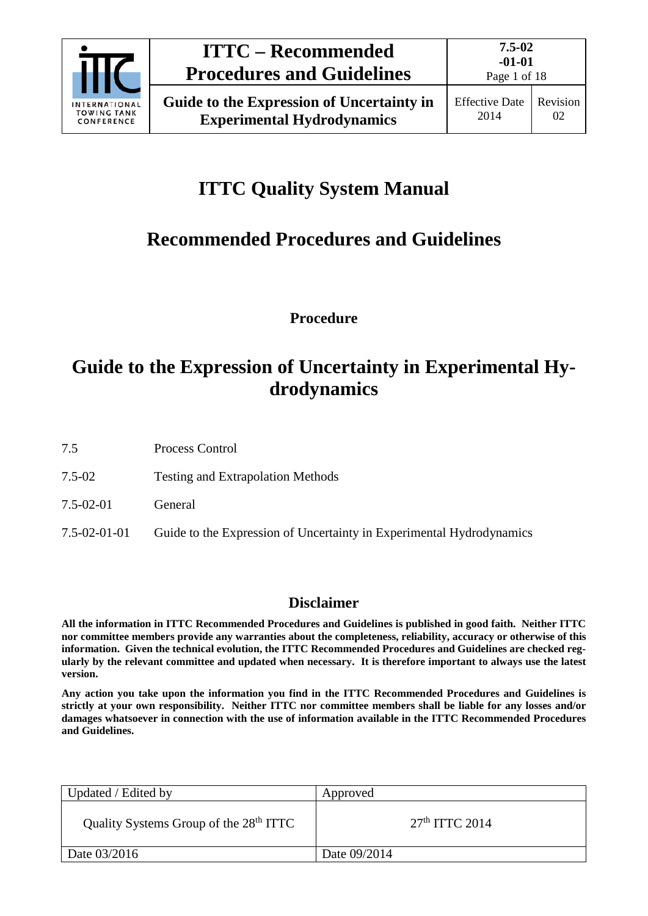

# **ITTC Quality System Manual**

# **Recommended Procedures and Guidelines**

**Procedure**

## **Guide to the Expression of Uncertainty in Experimental Hydrodynamics**

7.5 Process Control

7.5-02 Testing and Extrapolation Methods

7.5-02-01 General

7.5-02-01-01 Guide to the Expression of Uncertainty in Experimental Hydrodynamics

## **Disclaimer**

**All the information in ITTC Recommended Procedures and Guidelines is published in good faith. Neither ITTC nor committee members provide any warranties about the completeness, reliability, accuracy or otherwise of this information. Given the technical evolution, the ITTC Recommended Procedures and Guidelines are checked regularly by the relevant committee and updated when necessary. It is therefore important to always use the latest version.**

**Any action you take upon the information you find in the ITTC Recommended Procedures and Guidelines is strictly at your own responsibility. Neither ITTC nor committee members shall be liable for any losses and/or damages whatsoever in connection with the use of information available in the ITTC Recommended Procedures and Guidelines.**

| Updated / Edited by                                | Approved         |
|----------------------------------------------------|------------------|
| Quality Systems Group of the 28 <sup>th</sup> ITTC | $27th$ ITTC 2014 |
| Date 03/2016                                       | Date 09/2014     |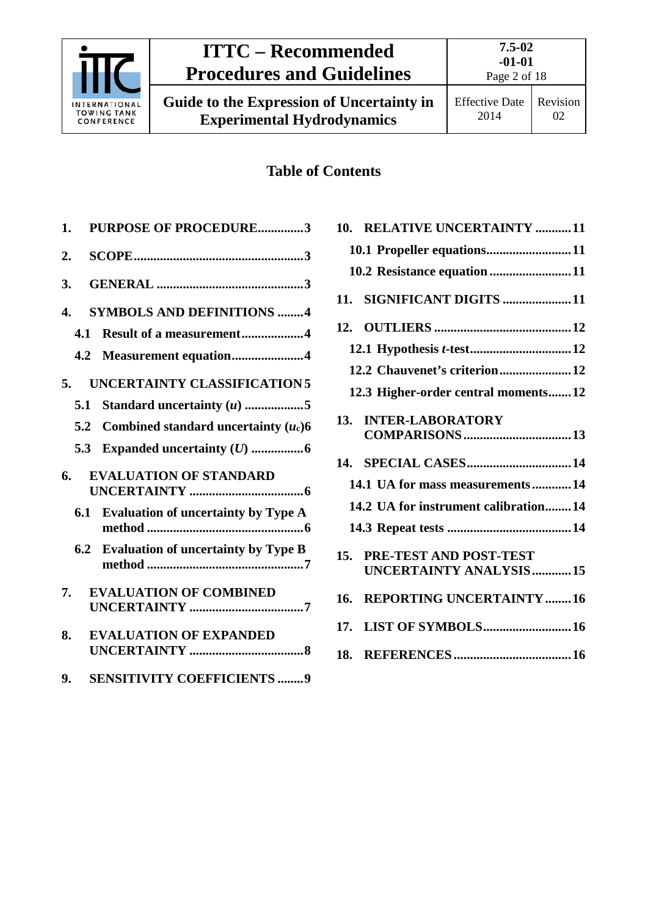

Effective Date 2014

## **Table of Contents**

| PURPOSE OF PROCEDURE3<br>1.                       |  |
|---------------------------------------------------|--|
| 2.                                                |  |
| 3.                                                |  |
| <b>SYMBOLS AND DEFINITIONS 4</b><br>4.            |  |
| <b>Result of a measurement4</b><br>4.1            |  |
| Measurement equation4<br>4.2                      |  |
| <b>UNCERTAINTY CLASSIFICATION 5</b><br>5.         |  |
| Standard uncertainty $(u)$ 5<br>5.1               |  |
| Combined standard uncertainty $(u_c)$ 6<br>5.2    |  |
| 5.3                                               |  |
| 6.<br><b>EVALUATION OF STANDARD</b>               |  |
| 6.1<br><b>Evaluation of uncertainty by Type A</b> |  |
| 6.2<br><b>Evaluation of uncertainty by Type B</b> |  |
| <b>EVALUATION OF COMBINED</b><br>7.               |  |
|                                                   |  |
| <b>EVALUATION OF EXPANDED</b><br>8.               |  |

**9. [SENSITIVITY COEFFICIENTS](#page-8-0) ........9**

|     | 10. RELATIVE UNCERTAINTY 11                             |
|-----|---------------------------------------------------------|
|     | 10.1 Propeller equations11                              |
|     | 10.2 Resistance equation 11                             |
| 11. | SIGNIFICANT DIGITS 11                                   |
|     |                                                         |
|     |                                                         |
|     | 12.2 Chauvenet's criterion12                            |
|     | 12.3 Higher-order central moments12                     |
| 13. | <b>INTER-LABORATORY</b>                                 |
|     |                                                         |
|     | 14.1 UA for mass measurements14                         |
|     | 14.2 UA for instrument calibration14                    |
|     |                                                         |
| 15. | PRE-TEST AND POST-TEST<br><b>UNCERTAINTY ANALYSIS15</b> |
| 16. | <b>REPORTING UNCERTAINTY 16</b>                         |
|     | 17. LIST OF SYMBOLS 16                                  |
|     |                                                         |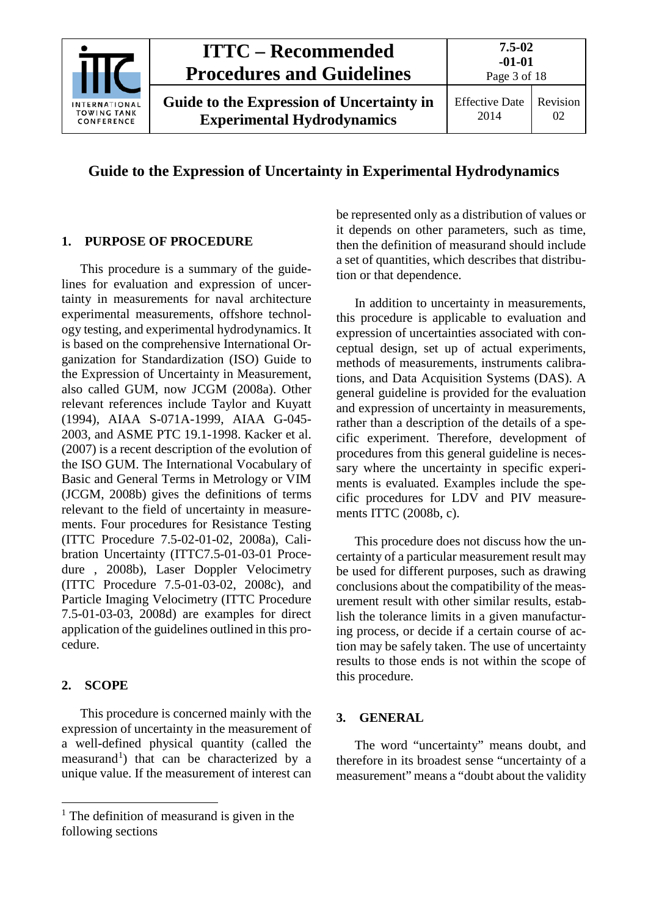

#### <span id="page-2-0"></span>**1. PURPOSE OF PROCEDURE**

This procedure is a summary of the guidelines for evaluation and expression of uncertainty in measurements for naval architecture experimental measurements, offshore technology testing, and experimental hydrodynamics. It is based on the comprehensive International Organization for Standardization (ISO) Guide to the Expression of Uncertainty in Measurement, also called GUM, now JCGM (2008a). Other relevant references include Taylor and Kuyatt (1994), AIAA S-071A-1999, AIAA G-045- 2003, and ASME PTC 19.1-1998. Kacker et al. (2007) is a recent description of the evolution of the ISO GUM. The International Vocabulary of Basic and General Terms in Metrology or VIM (JCGM, 2008b) gives the definitions of terms relevant to the field of uncertainty in measurements. Four procedures for Resistance Testing (ITTC Procedure 7.5-02-01-02, 2008a), Calibration Uncertainty (ITTC7.5-01-03-01 Procedure , 2008b), Laser Doppler Velocimetry (ITTC Procedure 7.5-01-03-02, 2008c), and Particle Imaging Velocimetry (ITTC Procedure 7.5-01-03-03, 2008d) are examples for direct application of the guidelines outlined in this procedure.

#### <span id="page-2-1"></span>**2. SCOPE**

This procedure is concerned mainly with the expression of uncertainty in the measurement of a well-defined physical quantity (called the measurand<sup>[1](#page-2-3)</sup>) that can be characterized by a unique value. If the measurement of interest can

be represented only as a distribution of values or it depends on other parameters, such as time, then the definition of measurand should include a set of quantities, which describes that distribution or that dependence.

In addition to uncertainty in measurements, this procedure is applicable to evaluation and expression of uncertainties associated with conceptual design, set up of actual experiments, methods of measurements, instruments calibrations, and Data Acquisition Systems (DAS). A general guideline is provided for the evaluation and expression of uncertainty in measurements, rather than a description of the details of a specific experiment. Therefore, development of procedures from this general guideline is necessary where the uncertainty in specific experiments is evaluated. Examples include the specific procedures for LDV and PIV measurements ITTC (2008b, c).

This procedure does not discuss how the uncertainty of a particular measurement result may be used for different purposes, such as drawing conclusions about the compatibility of the measurement result with other similar results, establish the tolerance limits in a given manufacturing process, or decide if a certain course of action may be safely taken. The use of uncertainty results to those ends is not within the scope of this procedure.

#### <span id="page-2-2"></span>**3. GENERAL**

The word "uncertainty" means doubt, and therefore in its broadest sense "uncertainty of a measurement" means a "doubt about the validity

<span id="page-2-3"></span> $1$  The definition of measurand is given in the following sections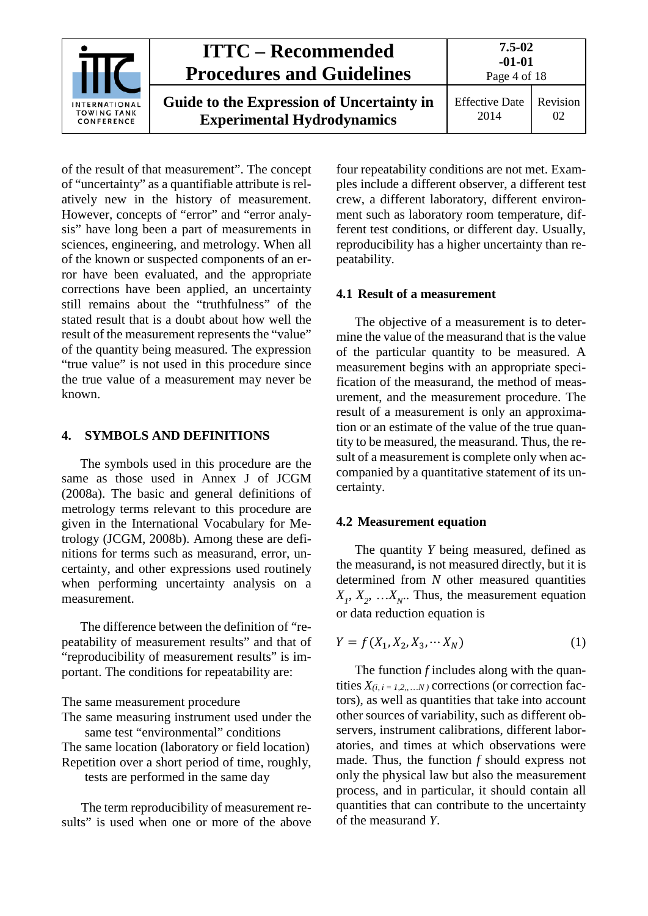

of the result of that measurement". The concept of "uncertainty" as a quantifiable attribute is relatively new in the history of measurement. However, concepts of "error" and "error analysis" have long been a part of measurements in sciences, engineering, and metrology. When all of the known or suspected components of an error have been evaluated, and the appropriate corrections have been applied, an uncertainty still remains about the "truthfulness" of the stated result that is a doubt about how well the result of the measurement represents the "value" of the quantity being measured. The expression "true value" is not used in this procedure since the true value of a measurement may never be known.

#### <span id="page-3-0"></span>**4. SYMBOLS AND DEFINITIONS**

The symbols used in this procedure are the same as those used in Annex J of JCGM (2008a). The basic and general definitions of metrology terms relevant to this procedure are given in the International Vocabulary for Metrology (JCGM, 2008b). Among these are definitions for terms such as measurand, error, uncertainty, and other expressions used routinely when performing uncertainty analysis on a measurement.

The difference between the definition of "repeatability of measurement results" and that of "reproducibility of measurement results" is important. The conditions for repeatability are:

The same measurement procedure

The same measuring instrument used under the same test "environmental" conditions

The same location (laboratory or field location) Repetition over a short period of time, roughly,

tests are performed in the same day

The term reproducibility of measurement results" is used when one or more of the above

four repeatability conditions are not met. Examples include a different observer, a different test crew, a different laboratory, different environment such as laboratory room temperature, different test conditions, or different day. Usually, reproducibility has a higher uncertainty than repeatability.

#### <span id="page-3-1"></span>**4.1 Result of a measurement**

The objective of a measurement is to determine the value of the measurand that is the value of the particular quantity to be measured. A measurement begins with an appropriate specification of the measurand, the method of measurement, and the measurement procedure. The result of a measurement is only an approximation or an estimate of the value of the true quantity to be measured, the measurand. Thus, the result of a measurement is complete only when accompanied by a quantitative statement of its uncertainty.

#### <span id="page-3-2"></span>**4.2 Measurement equation**

The quantity *Y* being measured, defined as the measurand**,** is not measured directly, but it is determined from *N* other measured quantities  $X_1, X_2, \ldots, X_N$ . Thus, the measurement equation or data reduction equation is

$$
Y = f(X_1, X_2, X_3, \cdots X_N)
$$
 (1)

The function *f* includes along with the quantities  $X_{(i, i = 1, 2, \ldots, N)}$  corrections (or correction factors), as well as quantities that take into account other sources of variability, such as different observers, instrument calibrations, different laboratories, and times at which observations were made. Thus, the function *f* should express not only the physical law but also the measurement process, and in particular, it should contain all quantities that can contribute to the uncertainty of the measurand *Y*.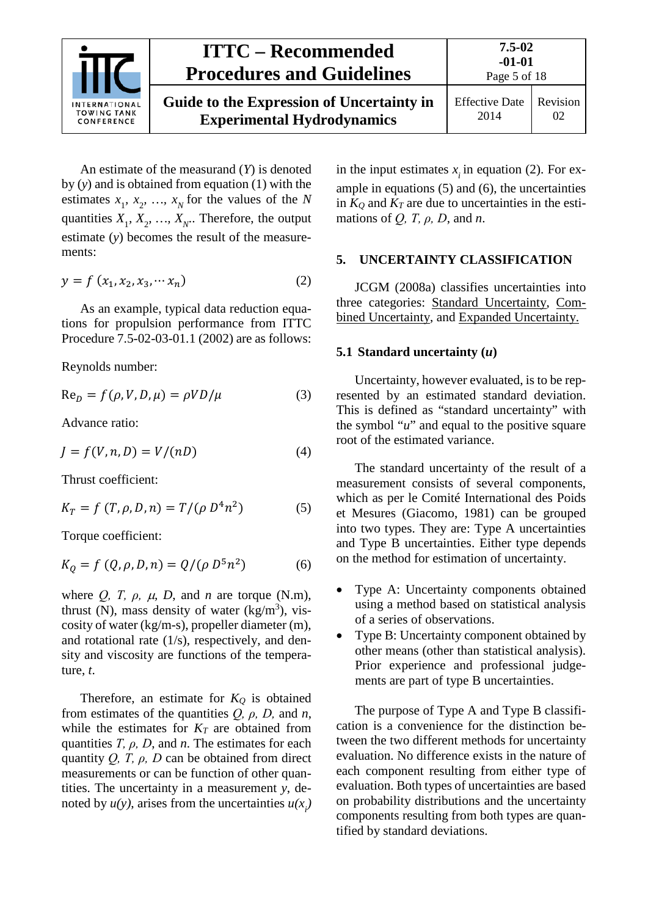

Page 5 of 18

An estimate of the measurand (*Y*) is denoted by (*y*) and is obtained from equation (1) with the estimates  $x_1$ ,  $x_2$ , ...,  $x_N$  for the values of the *N* quantities  $X_1, X_2, ..., X_N$ . Therefore, the output estimate (*y*) becomes the result of the measurements:

$$
y = f(x_1, x_2, x_3, \cdots x_n)
$$
 (2)

As an example, typical data reduction equations for propulsion performance from ITTC Procedure 7.5-02-03-01.1 (2002) are as follows:

Reynolds number:

$$
Re_D = f(\rho, V, D, \mu) = \rho V D / \mu \tag{3}
$$

Advance ratio:

$$
J = f(V, n, D) = V/(nD)
$$
 (4)

Thrust coefficient:

$$
K_T = f(T, \rho, D, n) = T/(\rho D^4 n^2)
$$
 (5)

Torque coefficient:

$$
K_Q = f(Q, \rho, D, n) = Q/(\rho D^5 n^2)
$$
 (6)

where  $Q$ ,  $T$ ,  $\rho$ ,  $\mu$ ,  $D$ , and  $n$  are torque (N.m), thrust (N), mass density of water  $(kg/m<sup>3</sup>)$ , viscosity of water (kg/m-s), propeller diameter (m), and rotational rate (1/s), respectively, and density and viscosity are functions of the temperature, *t*.

Therefore, an estimate for  $K_Q$  is obtained from estimates of the quantities *Q, ρ, D,* and *n*, while the estimates for  $K_T$  are obtained from quantities *T, ρ, D*, and *n*. The estimates for each quantity *Q, T, ρ, D* can be obtained from direct measurements or can be function of other quantities. The uncertainty in a measurement *y*, denoted by  $u(y)$ , arises from the uncertainties  $u(x_i)$ 

in the input estimates  $x_i$  in equation (2). For example in equations (5) and (6), the uncertainties in  $K_Q$  and  $K_T$  are due to uncertainties in the estimations of *Q, T, ρ, D*, and *n*.

#### <span id="page-4-0"></span>**5. UNCERTAINTY CLASSIFICATION**

JCGM (2008a) classifies uncertainties into three categories: Standard Uncertainty, Combined Uncertainty, and Expanded Uncertainty.

#### <span id="page-4-1"></span>**5.1 Standard uncertainty (***u***)**

Uncertainty, however evaluated, is to be represented by an estimated standard deviation. This is defined as "standard uncertainty" with the symbol "*u*" and equal to the positive square root of the estimated variance.

The standard uncertainty of the result of a measurement consists of several components, which as per le Comité International des Poids et Mesures (Giacomo, 1981) can be grouped into two types. They are: Type A uncertainties and Type B uncertainties. Either type depends on the method for estimation of uncertainty.

- Type A: Uncertainty components obtained using a method based on statistical analysis of a series of observations.
- Type B: Uncertainty component obtained by other means (other than statistical analysis). Prior experience and professional judgements are part of type B uncertainties.

The purpose of Type A and Type B classification is a convenience for the distinction between the two different methods for uncertainty evaluation. No difference exists in the nature of each component resulting from either type of evaluation. Both types of uncertainties are based on probability distributions and the uncertainty components resulting from both types are quantified by standard deviations.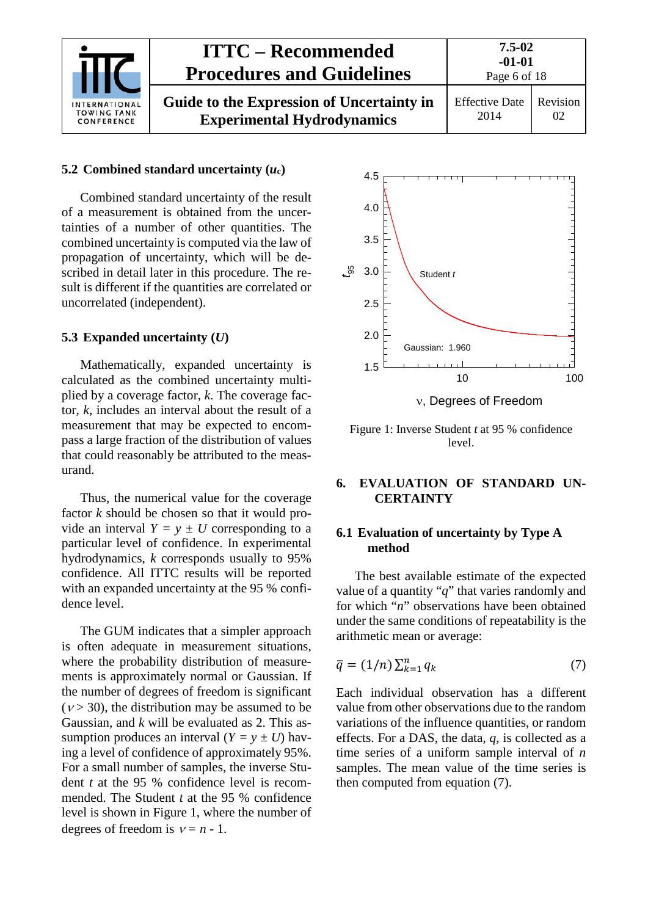| <b>INTERNATIONAL</b><br><b>TOWING TANK</b><br>CONFERENCE | <b>ITTC – Recommended</b><br><b>Procedures and Guidelines</b>                  | $7.5 - 02$<br>$-01-01$<br>Page 6 of 18 |                |
|----------------------------------------------------------|--------------------------------------------------------------------------------|----------------------------------------|----------------|
|                                                          | Guide to the Expression of Uncertainty in<br><b>Experimental Hydrodynamics</b> | <b>Effective Date</b><br>2014          | Revision<br>02 |

#### <span id="page-5-0"></span>**5.2 Combined standard uncertainty (***u***c)**

Combined standard uncertainty of the result of a measurement is obtained from the uncertainties of a number of other quantities. The combined uncertainty is computed via the law of propagation of uncertainty, which will be described in detail later in this procedure. The result is different if the quantities are correlated or uncorrelated (independent).

#### <span id="page-5-1"></span>**5.3 Expanded uncertainty (***U***)**

Mathematically, expanded uncertainty is calculated as the combined uncertainty multiplied by a coverage factor, *k*. The coverage factor, *k*, includes an interval about the result of a measurement that may be expected to encompass a large fraction of the distribution of values that could reasonably be attributed to the measurand.

Thus, the numerical value for the coverage factor *k* should be chosen so that it would provide an interval  $Y = y \pm U$  corresponding to a particular level of confidence. In experimental hydrodynamics, *k* corresponds usually to 95% confidence. All ITTC results will be reported with an expanded uncertainty at the 95 % confidence level.

The GUM indicates that a simpler approach is often adequate in measurement situations, where the probability distribution of measurements is approximately normal or Gaussian. If the number of degrees of freedom is significant  $(v > 30)$ , the distribution may be assumed to be Gaussian, and *k* will be evaluated as 2. This assumption produces an interval  $(Y = y \pm U)$  having a level of confidence of approximately 95%. For a small number of samples, the inverse Student *t* at the 95 % confidence level is recommended. The Student *t* at the 95 % confidence level is shown in [Figure 1,](#page-5-4) where the number of degrees of freedom is  $v = n - 1$ .



<span id="page-5-4"></span>Figure 1: Inverse Student *t* at 95 % confidence level.

#### <span id="page-5-2"></span>**6. EVALUATION OF STANDARD UN-CERTAINTY**

#### <span id="page-5-3"></span>**6.1 Evaluation of uncertainty by Type A method**

The best available estimate of the expected value of a quantity "*q*" that varies randomly and for which "*n*" observations have been obtained under the same conditions of repeatability is the arithmetic mean or average:

$$
\overline{q} = (1/n) \sum_{k=1}^{n} q_k \tag{7}
$$

Each individual observation has a different value from other observations due to the random variations of the influence quantities, or random effects. For a DAS, the data, *q*, is collected as a time series of a uniform sample interval of *n* samples. The mean value of the time series is then computed from equation (7).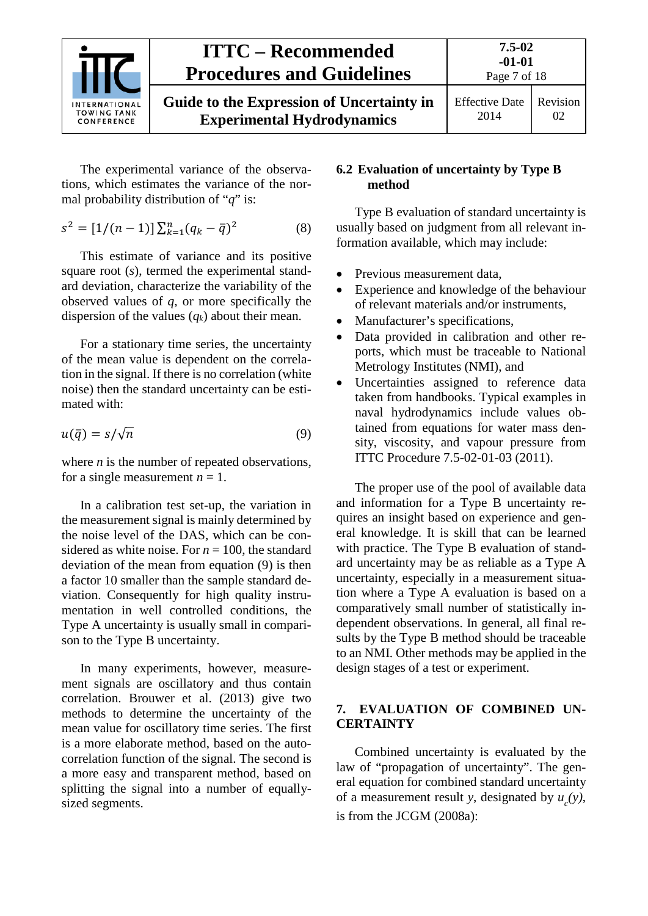

The experimental variance of the observations, which estimates the variance of the normal probability distribution of "*q*" is:

$$
s^{2} = [1/(n-1)] \sum_{k=1}^{n} (q_{k} - \bar{q})^{2}
$$
 (8)

This estimate of variance and its positive square root (*s*), termed the experimental standard deviation, characterize the variability of the observed values of *q*, or more specifically the dispersion of the values (*qk*) about their mean.

For a stationary time series, the uncertainty of the mean value is dependent on the correlation in the signal. If there is no correlation (white noise) then the standard uncertainty can be estimated with:

$$
u(\bar{q}) = s/\sqrt{n} \tag{9}
$$

where *n* is the number of repeated observations, for a single measurement  $n = 1$ .

In a calibration test set-up, the variation in the measurement signal is mainly determined by the noise level of the DAS, which can be considered as white noise. For  $n = 100$ , the standard deviation of the mean from equation (9) is then a factor 10 smaller than the sample standard deviation. Consequently for high quality instrumentation in well controlled conditions, the Type A uncertainty is usually small in comparison to the Type B uncertainty.

In many experiments, however, measurement signals are oscillatory and thus contain correlation. Brouwer et al. (2013) give two methods to determine the uncertainty of the mean value for oscillatory time series. The first is a more elaborate method, based on the autocorrelation function of the signal. The second is a more easy and transparent method, based on splitting the signal into a number of equallysized segments.

#### <span id="page-6-0"></span>**6.2 Evaluation of uncertainty by Type B method**

Type B evaluation of standard uncertainty is usually based on judgment from all relevant information available, which may include:

- Previous measurement data,
- Experience and knowledge of the behaviour of relevant materials and/or instruments,
- Manufacturer's specifications.
- Data provided in calibration and other reports, which must be traceable to National Metrology Institutes (NMI), and
- Uncertainties assigned to reference data taken from handbooks. Typical examples in naval hydrodynamics include values obtained from equations for water mass density, viscosity, and vapour pressure from ITTC Procedure 7.5-02-01-03 (2011).

The proper use of the pool of available data and information for a Type B uncertainty requires an insight based on experience and general knowledge. It is skill that can be learned with practice. The Type B evaluation of standard uncertainty may be as reliable as a Type A uncertainty, especially in a measurement situation where a Type A evaluation is based on a comparatively small number of statistically independent observations. In general, all final results by the Type B method should be traceable to an NMI. Other methods may be applied in the design stages of a test or experiment.

#### <span id="page-6-1"></span>**7. EVALUATION OF COMBINED UN-CERTAINTY**

Combined uncertainty is evaluated by the law of "propagation of uncertainty". The general equation for combined standard uncertainty of a measurement result *y*, designated by  $u_c(y)$ , is from the JCGM (2008a):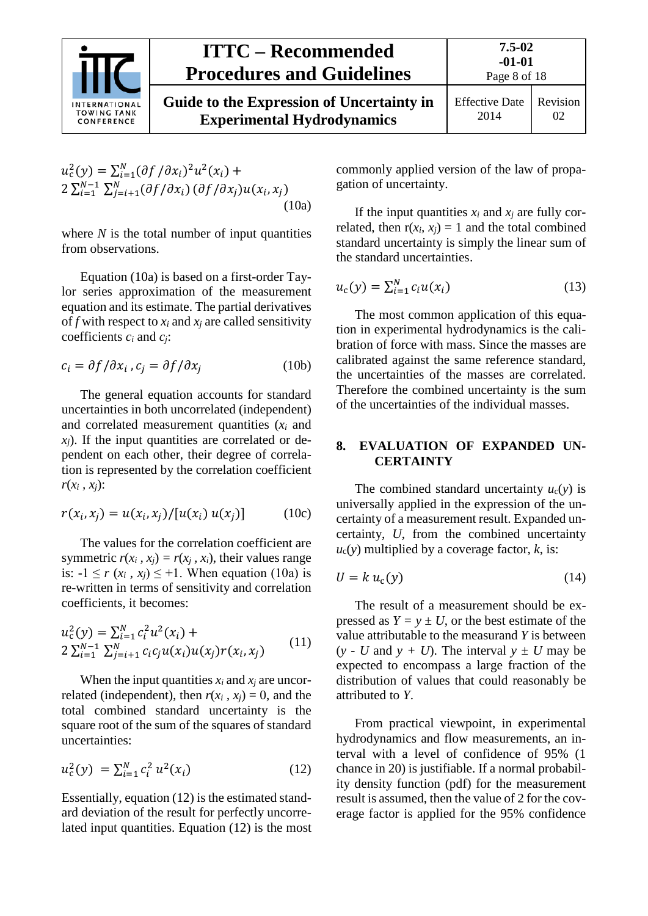|                                                          | <b>ITTC – Recommended</b><br><b>Procedures and Guidelines</b>                  | 7.5-02<br>$-01-01$<br>Page 8 of 18 |                |
|----------------------------------------------------------|--------------------------------------------------------------------------------|------------------------------------|----------------|
| <b>INTERNATIONAL</b><br><b>TOWING TANK</b><br>CONFERENCE | Guide to the Expression of Uncertainty in<br><b>Experimental Hydrodynamics</b> | <b>Effective Date</b><br>2014      | Revision<br>02 |

$$
u_c^2(y) = \sum_{i=1}^{N} (\partial f / \partial x_i)^2 u^2(x_i) + 2 \sum_{i=1}^{N-1} \sum_{j=i+1}^{N} (\partial f / \partial x_i) (\partial f / \partial x_j) u(x_i, x_j)
$$
\n(10a)

where  $N$  is the total number of input quantities from observations.

Equation (10a) is based on a first-order Taylor series approximation of the measurement equation and its estimate. The partial derivatives of  $f$  with respect to  $x_i$  and  $x_j$  are called sensitivity coefficients *ci* and *cj*:

$$
c_i = \partial f / \partial x_i , c_j = \partial f / \partial x_j \tag{10b}
$$

The general equation accounts for standard uncertainties in both uncorrelated (independent) and correlated measurement quantities (*xi* and  $x_i$ ). If the input quantities are correlated or dependent on each other, their degree of correlation is represented by the correlation coefficient  $r(x_i, x_j)$ :

$$
r(x_i, x_j) = u(x_i, x_j) / [u(x_i) u(x_j)] \tag{10c}
$$

The values for the correlation coefficient are symmetric  $r(x_i, x_i) = r(x_i, x_i)$ , their values range is:  $-1 \le r (x_i, x_j) \le +1$ . When equation (10a) is re-written in terms of sensitivity and correlation coefficients, it becomes:

$$
u_c^2(y) = \sum_{i=1}^N c_i^2 u^2(x_i) +
$$
  
2 $\sum_{i=1}^{N-1} \sum_{j=i+1}^N c_i c_j u(x_i) u(x_j) r(x_i, x_j)$  (11)

When the input quantities  $x_i$  and  $x_j$  are uncorrelated (independent), then  $r(x_i, x_j) = 0$ , and the total combined standard uncertainty is the square root of the sum of the squares of standard uncertainties:

$$
u_c^2(y) = \sum_{i=1}^N c_i^2 u^2(x_i)
$$
 (12)

Essentially, equation (12) is the estimated standard deviation of the result for perfectly uncorrelated input quantities. Equation (12) is the most commonly applied version of the law of propagation of uncertainty.

If the input quantities  $x_i$  and  $x_j$  are fully correlated, then  $r(x_i, x_j) = 1$  and the total combined standard uncertainty is simply the linear sum of the standard uncertainties.

$$
u_{c}(y) = \sum_{i=1}^{N} c_{i} u(x_{i})
$$
\n(13)

The most common application of this equation in experimental hydrodynamics is the calibration of force with mass. Since the masses are calibrated against the same reference standard, the uncertainties of the masses are correlated. Therefore the combined uncertainty is the sum of the uncertainties of the individual masses.

#### <span id="page-7-0"></span>**8. EVALUATION OF EXPANDED UN-CERTAINTY**

The combined standard uncertainty  $u_c(y)$  is universally applied in the expression of the uncertainty of a measurement result. Expanded uncertainty, *U*, from the combined uncertainty  $u_c(y)$  multiplied by a coverage factor,  $k$ , is:

$$
U = k u_{c}(y) \tag{14}
$$

The result of a measurement should be expressed as  $Y = y \pm U$ , or the best estimate of the value attributable to the measurand *Y* is between  $(y - U$  and  $y + U$ ). The interval  $y \pm U$  may be expected to encompass a large fraction of the distribution of values that could reasonably be attributed to *Y*.

From practical viewpoint, in experimental hydrodynamics and flow measurements, an interval with a level of confidence of 95% (1 chance in 20) is justifiable. If a normal probability density function (pdf) for the measurement result is assumed, then the value of 2 for the coverage factor is applied for the 95% confidence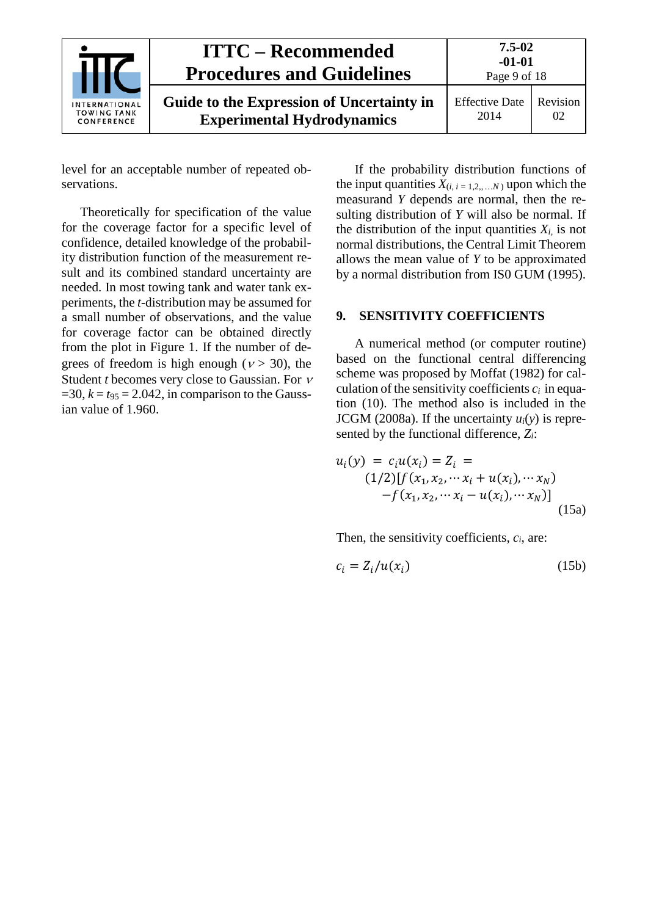| <b>INTERNATIONAL</b><br><b>TOWING TANK</b><br>CONFERENCE | <b>ITTC – Recommended</b><br><b>Procedures and Guidelines</b>                  | 7.5-02<br>$-01-01$<br>Page 9 of 18 |                |
|----------------------------------------------------------|--------------------------------------------------------------------------------|------------------------------------|----------------|
|                                                          | Guide to the Expression of Uncertainty in<br><b>Experimental Hydrodynamics</b> | <b>Effective Date</b><br>2014      | Revision<br>02 |

level for an acceptable number of repeated observations.

Theoretically for specification of the value for the coverage factor for a specific level of confidence, detailed knowledge of the probability distribution function of the measurement result and its combined standard uncertainty are needed. In most towing tank and water tank experiments, the *t*-distribution may be assumed for a small number of observations, and the value for coverage factor can be obtained directly from the plot in [Figure 1.](#page-5-4) If the number of degrees of freedom is high enough ( $v > 30$ ), the Student *t* becomes very close to Gaussian. For <sup>ν</sup>  $=$ 30,  $k = t_{95} = 2.042$ , in comparison to the Gaussian value of 1.960.

If the probability distribution functions of the input quantities  $X_{(i, i = 1, 2, \dots, N)}$  upon which the measurand *Y* depends are normal, then the resulting distribution of *Y* will also be normal. If the distribution of the input quantities  $X_i$ , is not normal distributions, the Central Limit Theorem allows the mean value of *Y* to be approximated by a normal distribution from IS0 GUM (1995).

#### <span id="page-8-0"></span>**9. SENSITIVITY COEFFICIENTS**

A numerical method (or computer routine) based on the functional central differencing scheme was proposed by Moffat (1982) for calculation of the sensitivity coefficients  $c_i$  in equation (10). The method also is included in the JCGM (2008a). If the uncertainty  $u_i(y)$  is represented by the functional difference, *Zi*:

$$
u_i(y) = c_i u(x_i) = Z_i =
$$
  
(1/2)[f(x<sub>1</sub>, x<sub>2</sub>, ... x<sub>i</sub> + u(x<sub>i</sub>), ... x<sub>N</sub>)  
-f(x<sub>1</sub>, x<sub>2</sub>, ... x<sub>i</sub> - u(x<sub>i</sub>), ... x<sub>N</sub>)] (15a)

Then, the sensitivity coefficients, *ci*, are:

$$
c_i = Z_i/u(x_i) \tag{15b}
$$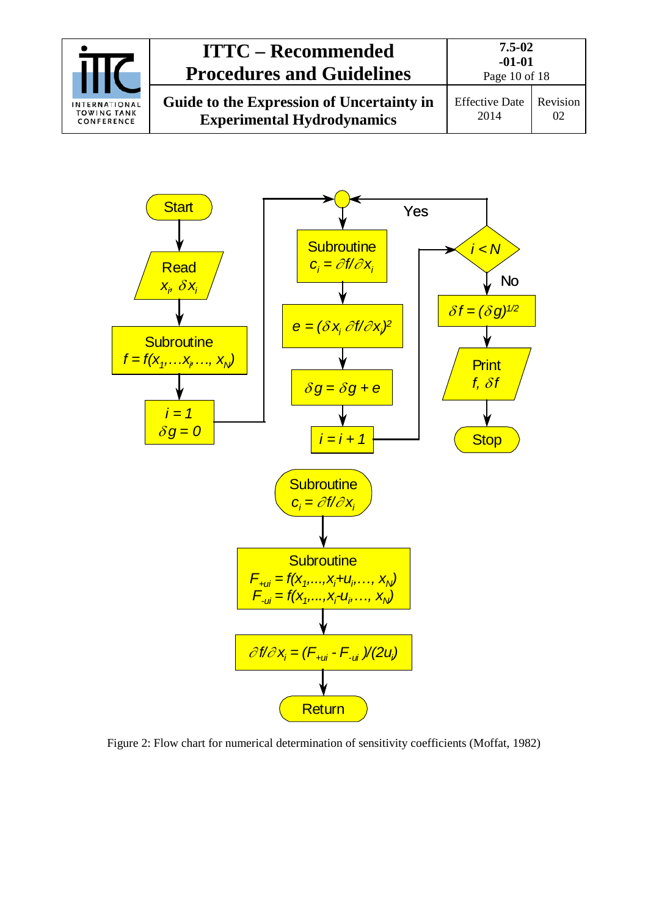| <b>INTERNATIONAL</b><br><b>TOWING TANK</b><br>CONFERENCE | <b>ITTC – Recommended</b><br><b>Procedures and Guidelines</b>                  | 7.5-02<br>$-01-01$<br>Page 10 of 18 |          |
|----------------------------------------------------------|--------------------------------------------------------------------------------|-------------------------------------|----------|
|                                                          | Guide to the Expression of Uncertainty in<br><b>Experimental Hydrodynamics</b> | <b>Effective Date</b><br>2014       | Revision |



<span id="page-9-0"></span>Figure 2: Flow chart for numerical determination of sensitivity coefficients (Moffat, 1982)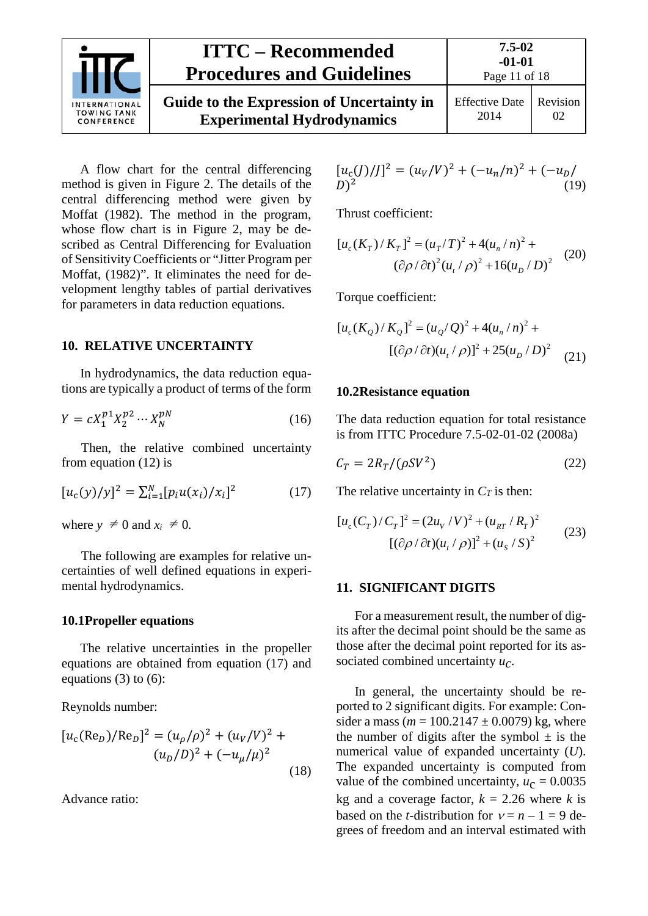

# **ITTC – Recommended Procedures and Guidelines**

**Guide to the Expression of Uncertainty in Experimental Hydrodynamics**

Effective Date 2014 Revision  $02<sub>z</sub>$ 

A flow chart for the central differencing method is given in [Figure 2.](#page-9-0) The details of the central differencing method were given by Moffat (1982). The method in the program, whose flow chart is in [Figure 2,](#page-9-0) may be described as Central Differencing for Evaluation of Sensitivity Coefficients or "Jitter Program per Moffat, (1982)". It eliminates the need for development lengthy tables of partial derivatives for parameters in data reduction equations.

#### <span id="page-10-0"></span>**10. RELATIVE UNCERTAINTY**

In hydrodynamics, the data reduction equations are typically a product of terms of the form

$$
Y = cX_1^{p_1}X_2^{p_2}\cdots X_N^{p_N}
$$
 (16)

Then, the relative combined uncertainty from equation (12) is

$$
[u_c(y)/y]^2 = \sum_{i=1}^{N} [p_i u(x_i)/x_i]^2
$$
 (17)

where  $y \neq 0$  and  $x_i \neq 0$ .

The following are examples for relative uncertainties of well defined equations in experimental hydrodynamics.

#### <span id="page-10-1"></span>**10.1Propeller equations**

The relative uncertainties in the propeller equations are obtained from equation (17) and equations  $(3)$  to  $(6)$ :

Reynolds number:

$$
[u_c(\text{Re}_D)/\text{Re}_D]^2 = (u_\rho/\rho)^2 + (u_V/V)^2 + (u_D/D)^2 + (-u_\mu/\mu)^2
$$
\n(18)

Advance ratio:

$$
[u_c(J)/J]^2 = (u_V/V)^2 + (-u_n/n)^2 + (-u_D/D)^2
$$
 (19)

Thrust coefficient:

$$
[u_c(K_T)/K_T]^2 = (u_T/T)^2 + 4(u_n/n)^2 +
$$
  

$$
(\partial \rho/\partial t)^2 (u_t/\rho)^2 + 16(u_D/D)^2
$$
 (20)

Torque coefficient:

$$
[u_c(K_Q)/K_Q]^2 = (u_Q/Q)^2 + 4(u_n/n)^2 +
$$
  

$$
[(\partial \rho/\partial t)(u_t/\rho)]^2 + 25(u_D/D)^2 \tag{21}
$$

#### <span id="page-10-2"></span>**10.2Resistance equation**

The data reduction equation for total resistance is from ITTC Procedure 7.5-02-01-02 (2008a)

$$
C_T = 2R_T/(\rho SV^2) \tag{22}
$$

The relative uncertainty in  $C_T$  is then:

$$
[u_c(C_T)/C_T]^2 = (2u_V/V)^2 + (u_{RT}/R_T)^2
$$
  
 
$$
[(\partial \rho/\partial t)(u_t/\rho)]^2 + (u_s/S)^2
$$
 (23)

#### <span id="page-10-3"></span>**11. SIGNIFICANT DIGITS**

For a measurement result, the number of digits after the decimal point should be the same as those after the decimal point reported for its associated combined uncertainty *uc*.

In general, the uncertainty should be reported to 2 significant digits. For example: Consider a mass ( $m = 100.2147 \pm 0.0079$ ) kg, where the number of digits after the symbol  $\pm$  is the numerical value of expanded uncertainty (*U*). The expanded uncertainty is computed from value of the combined uncertainty,  $u_c = 0.0035$ kg and a coverage factor,  $k = 2.26$  where *k* is based on the *t*-distribution for  $v = n - 1 = 9$  degrees of freedom and an interval estimated with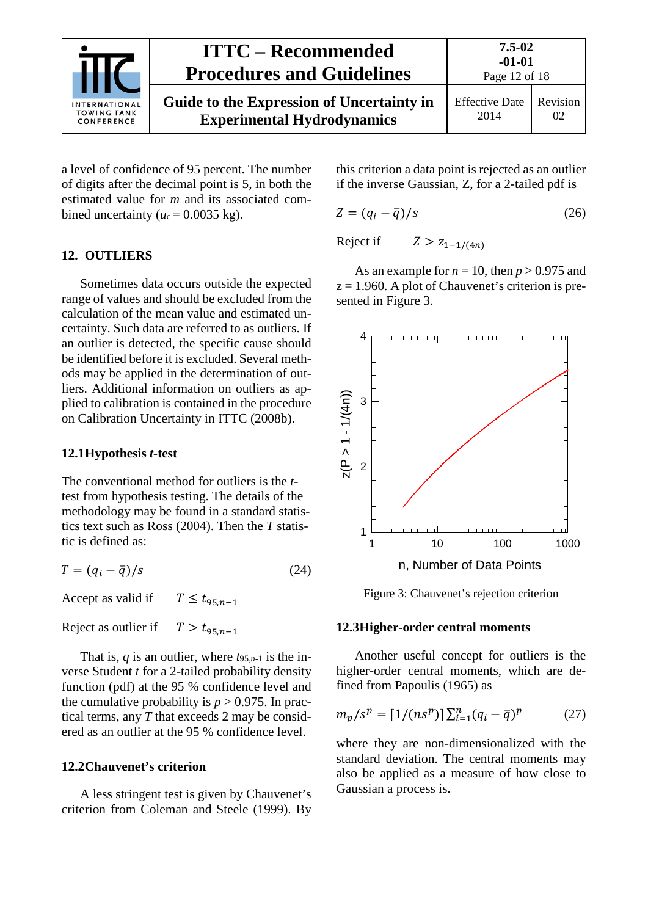|                                                          | <b>ITTC</b> – Recommended<br><b>Procedures and Guidelines</b>                  | 7.5-02<br>$-01-01$<br>Page 12 of 18 |                |
|----------------------------------------------------------|--------------------------------------------------------------------------------|-------------------------------------|----------------|
| <b>INTERNATIONAL</b><br><b>TOWING TANK</b><br>CONFERENCE | Guide to the Expression of Uncertainty in<br><b>Experimental Hydrodynamics</b> | <b>Effective Date</b><br>2014       | Revision<br>02 |

a level of confidence of 95 percent. The number of digits after the decimal point is 5, in both the estimated value for *m* and its associated combined uncertainty ( $u_c = 0.0035$  kg).

#### <span id="page-11-0"></span>**12. OUTLIERS**

Sometimes data occurs outside the expected range of values and should be excluded from the calculation of the mean value and estimated uncertainty. Such data are referred to as outliers. If an outlier is detected, the specific cause should be identified before it is excluded. Several methods may be applied in the determination of outliers. Additional information on outliers as applied to calibration is contained in the procedure on Calibration Uncertainty in ITTC (2008b).

#### <span id="page-11-1"></span>**12.1Hypothesis** *t***-test**

The conventional method for outliers is the *t*test from hypothesis testing. The details of the methodology may be found in a standard statistics text such as Ross (2004). Then the *T* statistic is defined as:

$$
T = (q_i - \overline{q})/s \tag{24}
$$

Accept as valid if  $T \le t_{95n-1}$ 

Reject as outlier if  $T > t_{95,n-1}$ 

That is,  $q$  is an outlier, where  $t_{95,n-1}$  is the inverse Student *t* for a 2-tailed probability density function (pdf) at the 95 % confidence level and the cumulative probability is  $p > 0.975$ . In practical terms, any *T* that exceeds 2 may be considered as an outlier at the 95 % confidence level.

#### <span id="page-11-2"></span>**12.2Chauvenet's criterion**

A less stringent test is given by Chauvenet's criterion from Coleman and Steele (1999). By this criterion a data point is rejected as an outlier if the inverse Gaussian, Z, for a 2-tailed pdf is

$$
Z = (q_i - \bar{q})/s \tag{26}
$$

Reject if  $Z > Z_{1-1/(4n)}$ 

As an example for  $n = 10$ , then  $p > 0.975$  and  $z = 1.960$ . A plot of Chauvenet's criterion is presented in [Figure 3.](#page-11-4)



<span id="page-11-4"></span>Figure 3: Chauvenet's rejection criterion

#### <span id="page-11-3"></span>**12.3Higher-order central moments**

Another useful concept for outliers is the higher-order central moments, which are defined from Papoulis (1965) as

$$
m_p / s^p = [1 / (n s^p)] \sum_{i=1}^n (q_i - \bar{q})^p \tag{27}
$$

where they are non-dimensionalized with the standard deviation. The central moments may also be applied as a measure of how close to Gaussian a process is.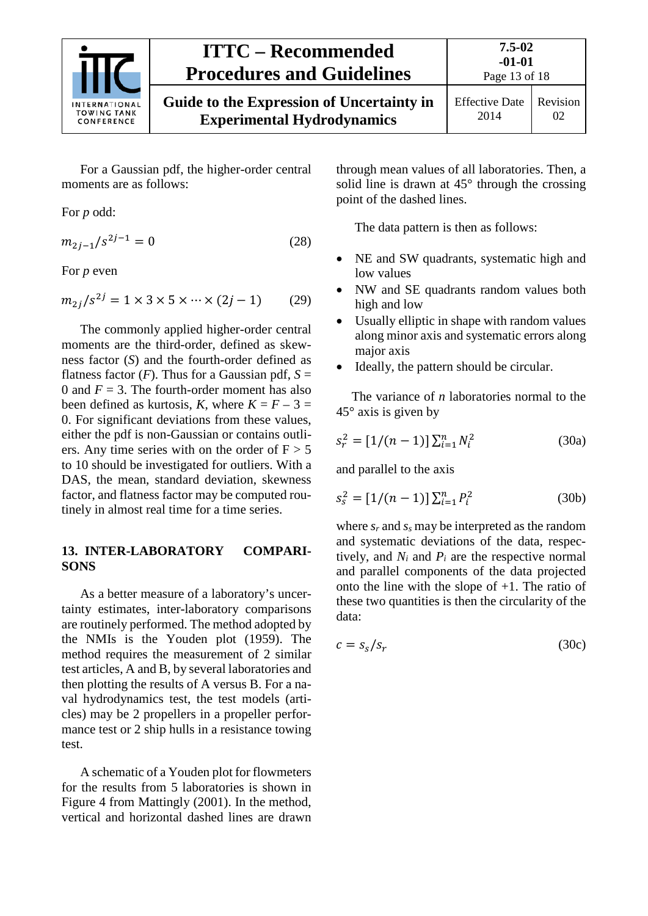

# **ITTC – Recommended Procedures and Guidelines**

Page 13 of 18

For a Gaussian pdf, the higher-order central moments are as follows:

For *p* odd:

$$
m_{2j-1}/s^{2j-1} = 0 \tag{28}
$$

For *p* even

$$
m_{2j}/s^{2j} = 1 \times 3 \times 5 \times \dots \times (2j - 1)
$$
 (29)

The commonly applied higher-order central moments are the third-order, defined as skewness factor (*S*) and the fourth-order defined as flatness factor  $(F)$ . Thus for a Gaussian pdf,  $S =$ 0 and  $F = 3$ . The fourth-order moment has also been defined as kurtosis, *K*, where  $K = F - 3 =$ 0. For significant deviations from these values, either the pdf is non-Gaussian or contains outliers. Any time series with on the order of  $F > 5$ to 10 should be investigated for outliers. With a DAS, the mean, standard deviation, skewness factor, and flatness factor may be computed routinely in almost real time for a time series.

#### <span id="page-12-0"></span>**13. INTER-LABORATORY COMPARI-SONS**

As a better measure of a laboratory's uncertainty estimates, inter-laboratory comparisons are routinely performed. The method adopted by the NMIs is the Youden plot (1959). The method requires the measurement of 2 similar test articles, A and B, by several laboratories and then plotting the results of A versus B. For a naval hydrodynamics test, the test models (articles) may be 2 propellers in a propeller performance test or 2 ship hulls in a resistance towing test.

A schematic of a Youden plot for flowmeters for the results from 5 laboratories is shown in [Figure 4](#page-13-4) from Mattingly (2001). In the method, vertical and horizontal dashed lines are drawn

through mean values of all laboratories. Then, a solid line is drawn at  $45^{\circ}$  through the crossing point of the dashed lines.

The data pattern is then as follows:

- NE and SW quadrants, systematic high and low values
- NW and SE quadrants random values both high and low
- Usually elliptic in shape with random values along minor axis and systematic errors along major axis
- Ideally, the pattern should be circular.

The variance of *n* laboratories normal to the  $45^\circ$  axis is given by

$$
s_r^2 = [1/(n-1)] \sum_{i=1}^n N_i^2
$$
 (30a)

and parallel to the axis

$$
s_s^2 = [1/(n-1)] \sum_{i=1}^n P_i^2
$$
 (30b)

where *sr* and *ss* may be interpreted as the random and systematic deviations of the data, respectively, and  $N_i$  and  $P_i$  are the respective normal and parallel components of the data projected onto the line with the slope of +1. The ratio of these two quantities is then the circularity of the data:

$$
c = s_s / s_r \tag{30c}
$$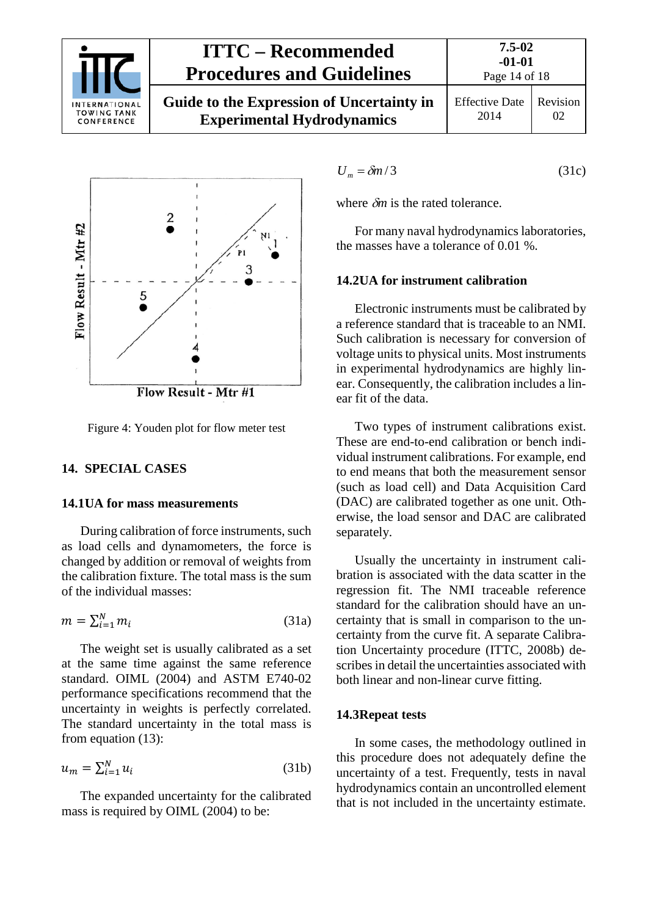

# **ITTC – Recommended Procedures and Guidelines**

**Guide to the Expression of Uncertainty in Experimental Hydrodynamics**



<span id="page-13-4"></span>Figure 4: Youden plot for flow meter test

#### <span id="page-13-1"></span><span id="page-13-0"></span>**14. SPECIAL CASES**

#### **14.1UA for mass measurements**

During calibration of force instruments, such as load cells and dynamometers, the force is changed by addition or removal of weights from the calibration fixture. The total mass is the sum of the individual masses:

$$
m = \sum_{i=1}^{N} m_i \tag{31a}
$$

The weight set is usually calibrated as a set at the same time against the same reference standard. OIML (2004) and ASTM E740-02 performance specifications recommend that the uncertainty in weights is perfectly correlated. The standard uncertainty in the total mass is from equation (13):

$$
u_m = \sum_{i=1}^N u_i \tag{31b}
$$

The expanded uncertainty for the calibrated mass is required by OIML (2004) to be:

$$
U_m = \delta m / 3 \tag{31c}
$$

where δ*m* is the rated tolerance.

For many naval hydrodynamics laboratories, the masses have a tolerance of 0.01 %.

#### <span id="page-13-2"></span>**14.2UA for instrument calibration**

Electronic instruments must be calibrated by a reference standard that is traceable to an NMI. Such calibration is necessary for conversion of voltage units to physical units. Most instruments in experimental hydrodynamics are highly linear. Consequently, the calibration includes a linear fit of the data.

Two types of instrument calibrations exist. These are end-to-end calibration or bench individual instrument calibrations. For example, end to end means that both the measurement sensor (such as load cell) and Data Acquisition Card (DAC) are calibrated together as one unit. Otherwise, the load sensor and DAC are calibrated separately.

Usually the uncertainty in instrument calibration is associated with the data scatter in the regression fit. The NMI traceable reference standard for the calibration should have an uncertainty that is small in comparison to the uncertainty from the curve fit. A separate Calibration Uncertainty procedure (ITTC, 2008b) describes in detail the uncertainties associated with both linear and non-linear curve fitting.

#### <span id="page-13-3"></span>**14.3Repeat tests**

In some cases, the methodology outlined in this procedure does not adequately define the uncertainty of a test. Frequently, tests in naval hydrodynamics contain an uncontrolled element that is not included in the uncertainty estimate.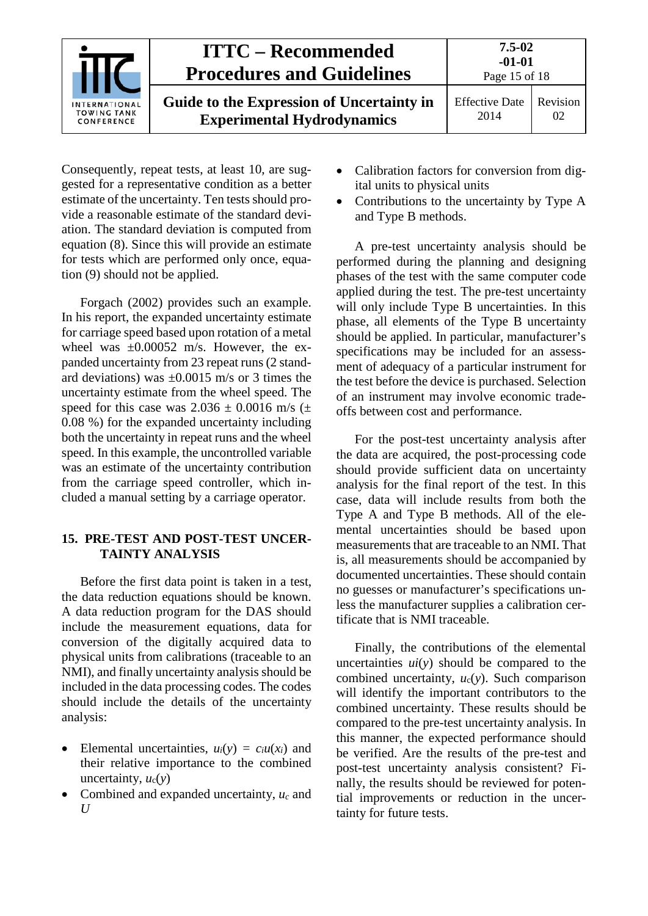|                                                          | <b>ITTC – Recommended</b><br><b>Procedures and Guidelines</b>                  | $7.5 - 02$<br>$-01-01$<br>Page 15 of 18 |                |
|----------------------------------------------------------|--------------------------------------------------------------------------------|-----------------------------------------|----------------|
| <b>INTERNATIONAL</b><br><b>TOWING TANK</b><br>CONFERENCE | Guide to the Expression of Uncertainty in<br><b>Experimental Hydrodynamics</b> | <b>Effective Date</b><br>2014           | Revision<br>02 |

Consequently, repeat tests, at least 10, are suggested for a representative condition as a better estimate of the uncertainty. Ten tests should provide a reasonable estimate of the standard deviation. The standard deviation is computed from equation (8). Since this will provide an estimate for tests which are performed only once, equation (9) should not be applied.

Forgach (2002) provides such an example. In his report, the expanded uncertainty estimate for carriage speed based upon rotation of a metal wheel was  $\pm 0.00052$  m/s. However, the expanded uncertainty from 23 repeat runs (2 standard deviations) was  $\pm 0.0015$  m/s or 3 times the uncertainty estimate from the wheel speed. The speed for this case was  $2.036 \pm 0.0016$  m/s ( $\pm$ 0.08 %) for the expanded uncertainty including both the uncertainty in repeat runs and the wheel speed. In this example, the uncontrolled variable was an estimate of the uncertainty contribution from the carriage speed controller, which included a manual setting by a carriage operator.

#### <span id="page-14-0"></span>**15. PRE-TEST AND POST-TEST UNCER-TAINTY ANALYSIS**

Before the first data point is taken in a test, the data reduction equations should be known. A data reduction program for the DAS should include the measurement equations, data for conversion of the digitally acquired data to physical units from calibrations (traceable to an NMI), and finally uncertainty analysis should be included in the data processing codes. The codes should include the details of the uncertainty analysis:

- Elemental uncertainties,  $u_i(y) = c_i u(x_i)$  and their relative importance to the combined uncertainty,  $u_c(v)$
- Combined and expanded uncertainty, *uc* and *U*
- Calibration factors for conversion from digital units to physical units
- Contributions to the uncertainty by Type A and Type B methods.

A pre-test uncertainty analysis should be performed during the planning and designing phases of the test with the same computer code applied during the test. The pre-test uncertainty will only include Type B uncertainties. In this phase, all elements of the Type B uncertainty should be applied. In particular, manufacturer's specifications may be included for an assessment of adequacy of a particular instrument for the test before the device is purchased. Selection of an instrument may involve economic tradeoffs between cost and performance.

For the post-test uncertainty analysis after the data are acquired, the post-processing code should provide sufficient data on uncertainty analysis for the final report of the test. In this case, data will include results from both the Type A and Type B methods. All of the elemental uncertainties should be based upon measurements that are traceable to an NMI. That is, all measurements should be accompanied by documented uncertainties. These should contain no guesses or manufacturer's specifications unless the manufacturer supplies a calibration certificate that is NMI traceable.

Finally, the contributions of the elemental uncertainties *ui*(*y*) should be compared to the combined uncertainty, *u*c(*y*). Such comparison will identify the important contributors to the combined uncertainty. These results should be compared to the pre-test uncertainty analysis. In this manner, the expected performance should be verified. Are the results of the pre-test and post-test uncertainty analysis consistent? Finally, the results should be reviewed for potential improvements or reduction in the uncertainty for future tests.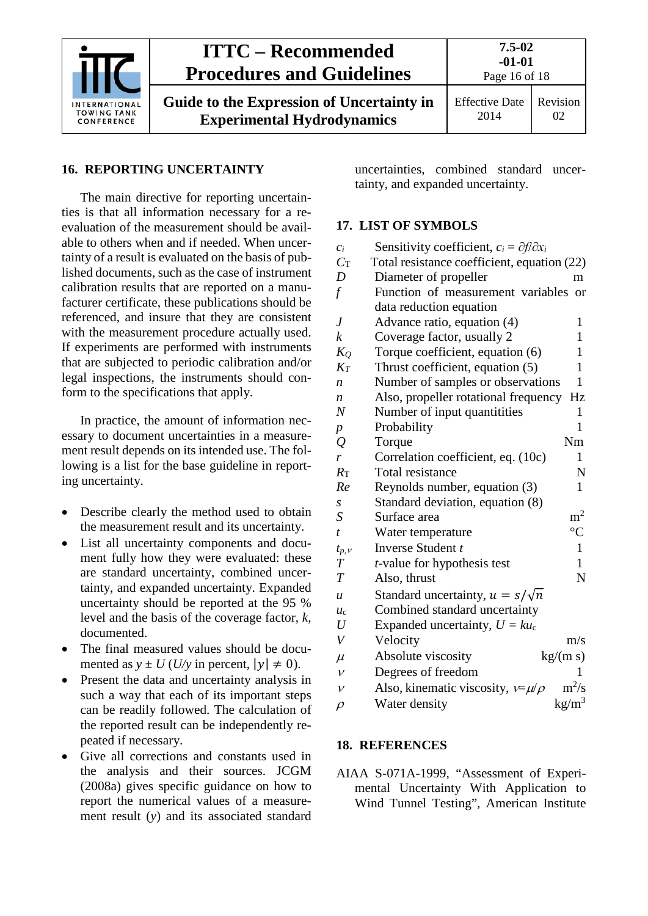

#### <span id="page-15-0"></span>**16. REPORTING UNCERTAINTY**

The main directive for reporting uncertainties is that all information necessary for a reevaluation of the measurement should be available to others when and if needed. When uncertainty of a result is evaluated on the basis of published documents, such as the case of instrument calibration results that are reported on a manufacturer certificate, these publications should be referenced, and insure that they are consistent with the measurement procedure actually used. If experiments are performed with instruments that are subjected to periodic calibration and/or legal inspections, the instruments should conform to the specifications that apply.

In practice, the amount of information necessary to document uncertainties in a measurement result depends on its intended use. The following is a list for the base guideline in reporting uncertainty.

- Describe clearly the method used to obtain the measurement result and its uncertainty.
- List all uncertainty components and document fully how they were evaluated: these are standard uncertainty, combined uncertainty, and expanded uncertainty. Expanded uncertainty should be reported at the 95 % level and the basis of the coverage factor, *k*, documented.
- The final measured values should be documented as  $y \pm U$  (*U/y* in percent,  $|y| \neq 0$ ).
- Present the data and uncertainty analysis in such a way that each of its important steps can be readily followed. The calculation of the reported result can be independently repeated if necessary.
- Give all corrections and constants used in the analysis and their sources. JCGM (2008a) gives specific guidance on how to report the numerical values of a measurement result (*y*) and its associated standard

uncertainties, combined standard uncertainty, and expanded uncertainty.

#### <span id="page-15-1"></span>**17. LIST OF SYMBOLS**

| $\mathcal{C}_{i}$ | Sensitivity coefficient, $c_i = \partial f / \partial x_i$ |                 |
|-------------------|------------------------------------------------------------|-----------------|
| $C_{\rm T}$       | Total resistance coefficient, equation (22)                |                 |
| D                 | Diameter of propeller                                      | m               |
| $\int$            | Function of measurement variables                          | <sub>or</sub>   |
|                   | data reduction equation                                    |                 |
| $\boldsymbol{J}$  | Advance ratio, equation (4)                                | 1               |
| $\boldsymbol{k}$  | Coverage factor, usually 2                                 | $\mathbf{1}$    |
| $K_Q$             | Torque coefficient, equation (6)                           | 1               |
| $K_T$             | Thrust coefficient, equation (5)                           | 1               |
| $\boldsymbol{n}$  | Number of samples or observations                          | $\mathbf{1}$    |
| n                 | Also, propeller rotational frequency                       | Hz              |
| $\boldsymbol{N}$  | Number of input quantitities                               | 1               |
| $\boldsymbol{p}$  | Probability                                                | 1               |
| $\varrho$         | Torque                                                     | Nm              |
| r                 | Correlation coefficient, eq. (10c)                         | 1               |
| $R_{\rm T}$       | Total resistance                                           | N               |
| Re                | Reynolds number, equation (3)                              | $\mathbf{1}$    |
| $\boldsymbol{S}$  | Standard deviation, equation (8)                           |                 |
| S                 | Surface area                                               | m <sup>2</sup>  |
| $\boldsymbol{t}$  | Water temperature                                          | $\rm ^{\circ}C$ |
| $t_{p, V}$        | Inverse Student t                                          | $\mathbf{1}$    |
| $\boldsymbol{T}$  | t-value for hypothesis test                                | 1               |
| $\overline{T}$    | Also, thrust                                               | N               |
| $\boldsymbol{u}$  | Standard uncertainty, $u = s/\sqrt{n}$                     |                 |
| $u_{c}$           | Combined standard uncertainty                              |                 |
| U                 | Expanded uncertainty, $U = k u_c$                          |                 |
| $\bar{V}$         | Velocity                                                   | m/s             |
| $\mu$             | Absolute viscosity                                         | kg/(m s)        |
| $\mathcal V$      | Degrees of freedom                                         | 1               |
| $\mathcal V$      | Also, kinematic viscosity, $v = \mu/\rho$                  | $m^2/s$         |
| $\rho$            | Water density                                              | $\text{kg/m}^3$ |

#### <span id="page-15-2"></span>**18. REFERENCES**

AIAA S-071A-1999, "Assessment of Experimental Uncertainty With Application to Wind Tunnel Testing", American Institute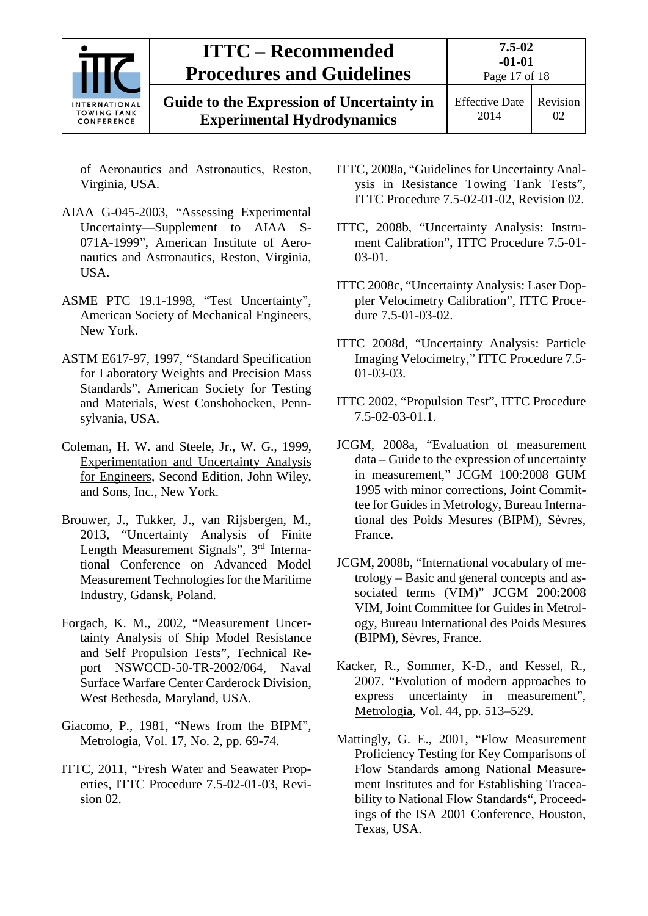

of Aeronautics and Astronautics, Reston, Virginia, USA.

- AIAA G-045-2003, "Assessing Experimental Uncertainty—Supplement to AIAA S-071A-1999", American Institute of Aeronautics and Astronautics, Reston, Virginia, USA.
- ASME PTC 19.1-1998, "Test Uncertainty", American Society of Mechanical Engineers, New York.
- ASTM E617-97, 1997, "Standard Specification for Laboratory Weights and Precision Mass Standards", American Society for Testing and Materials, West Conshohocken, Pennsylvania, USA.
- Coleman, H. W. and Steele, Jr., W. G., 1999, Experimentation and Uncertainty Analysis for Engineers, Second Edition, John Wiley, and Sons, Inc., New York.
- Brouwer, J., Tukker, J., van Rijsbergen, M., 2013, "Uncertainty Analysis of Finite Length Measurement Signals", 3rd International Conference on Advanced Model Measurement Technologies for the Maritime Industry, Gdansk, Poland.
- Forgach, K. M., 2002, "Measurement Uncertainty Analysis of Ship Model Resistance and Self Propulsion Tests", Technical Report NSWCCD-50-TR-2002/064, Naval Surface Warfare Center Carderock Division, West Bethesda, Maryland, USA.
- Giacomo, P., 1981, "News from the BIPM", Metrologia, Vol. 17, No. 2, pp. 69-74.
- ITTC, 2011, "Fresh Water and Seawater Properties, ITTC Procedure 7.5-02-01-03, Revision 02.
- ITTC, 2008a, "Guidelines for Uncertainty Analysis in Resistance Towing Tank Tests", ITTC Procedure 7.5-02-01-02, Revision 02.
- ITTC, 2008b, "Uncertainty Analysis: Instrument Calibration", ITTC Procedure 7.5-01- 03-01.
- ITTC 2008c, "Uncertainty Analysis: Laser Doppler Velocimetry Calibration", ITTC Procedure 7.5-01-03-02.
- ITTC 2008d, "Uncertainty Analysis: Particle Imaging Velocimetry," ITTC Procedure 7.5- 01-03-03.
- ITTC 2002, "Propulsion Test", ITTC Procedure 7.5-02-03-01.1.
- JCGM, 2008a, "Evaluation of measurement data – Guide to the expression of uncertainty in measurement," JCGM 100:2008 GUM 1995 with minor corrections, Joint Committee for Guides in Metrology, Bureau International des Poids Mesures (BIPM), Sèvres, France.
- JCGM, 2008b, "International vocabulary of metrology – Basic and general concepts and associated terms (VIM)" JCGM 200:2008 VIM, Joint Committee for Guides in Metrology, Bureau International des Poids Mesures (BIPM), Sèvres, France.
- Kacker, R., Sommer, K-D., and Kessel, R., 2007. "Evolution of modern approaches to express uncertainty in measurement", Metrologia, Vol. 44, pp. 513–529.
- Mattingly, G. E., 2001, "Flow Measurement Proficiency Testing for Key Comparisons of Flow Standards among National Measurement Institutes and for Establishing Traceability to National Flow Standards", Proceedings of the ISA 2001 Conference, Houston, Texas, USA.